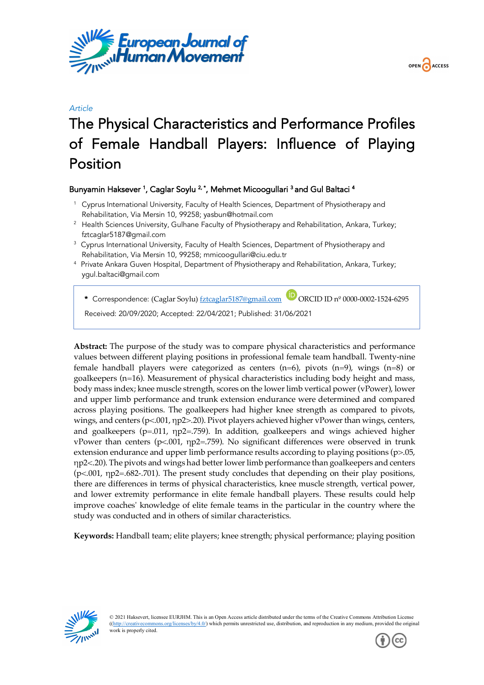



# *Article* The Physical Characteristics and Performance Profiles of Female Handball Players: Influence of Playing Position

# Bunyamin Haksever <sup>1</sup>, Caglar Soylu <sup>2,</sup> \*, Mehmet Micoogullari <sup>3</sup> and Gul Baltaci <sup>4</sup>

- <sup>1</sup> Cyprus International University, Faculty of Health Sciences, Department of Physiotherapy and Rehabilitation, Via Mersin 10, 99258; yasbun@hotmail.com
- <sup>2</sup> Health Sciences University, Gulhane Faculty of Physiotherapy and Rehabilitation, Ankara, Turkey; fztcaglar5187@gmail.com
- <sup>3</sup> Cyprus International University, Faculty of Health Sciences, Department of Physiotherapy and Rehabilitation, Via Mersin 10, 99258; mmicoogullari@ciu.edu.tr
- 4 Private Ankara Guven Hospital, Department of Physiotherapy and Rehabilitation, Ankara, Turkey; ygul.baltaci@gmail.com

\* Correspondence: (Caglar Soylu) fztcaglar5187@gmail.com **D** ORCID ID nº 0000-0002-1524-6295

Received: 20/09/2020; Accepted: 22/04/2021; Published: 31/06/2021

**Abstract:** The purpose of the study was to compare physical characteristics and performance values between different playing positions in professional female team handball. Twenty-nine female handball players were categorized as centers  $(n=6)$ , pivots  $(n=9)$ , wings  $(n=8)$  or goalkeepers (n=16). Measurement of physical characteristics including body height and mass, body mass index; knee muscle strength, scores on the lower limb vertical power (vPower), lower and upper limb performance and trunk extension endurance were determined and compared across playing positions. The goalkeepers had higher knee strength as compared to pivots, wings, and centers (p<.001, ηp2>.20). Pivot players achieved higher vPower than wings, centers, and goalkeepers ( $p=011$ ,  $np2=.759$ ). In addition, goalkeepers and wings achieved higher vPower than centers (p<.001, ηp2=.759). No significant differences were observed in trunk extension endurance and upper limb performance results according to playing positions (p>.05, ηp2<.20). The pivots and wings had better lower limb performance than goalkeepers and centers (p<.001, ηp2=.682-.701). The present study concludes that depending on their play positions, there are differences in terms of physical characteristics, knee muscle strength, vertical power, and lower extremity performance in elite female handball players. These results could help improve coaches' knowledge of elite female teams in the particular in the country where the study was conducted and in others of similar characteristics.

**Keywords:** Handball team; elite players; knee strength; physical performance; playing position



© 2021 Haksevert, licensee EURJHM. This is an Open Access article distributed under the terms of the Creative Commons Attribution License ((http://creativecommons.org/licenses/by/4.0/) which permits unrestricted use, distribution, and reproduction in any medium, provided the original work is properly cited.

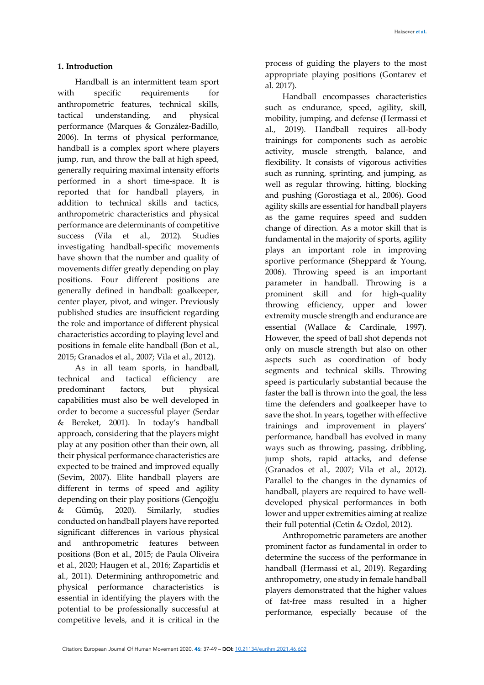# **1. Introduction**

Handball is an intermittent team sport with specific requirements for anthropometric features, technical skills, tactical understanding, and physical performance (Marques & González-Badillo, 2006). In terms of physical performance, handball is a complex sport where players jump, run, and throw the ball at high speed, generally requiring maximal intensity efforts performed in a short time-space. It is reported that for handball players, in addition to technical skills and tactics, anthropometric characteristics and physical performance are determinants of competitive success (Vila et al., 2012). Studies investigating handball-specific movements have shown that the number and quality of movements differ greatly depending on play positions. Four different positions are generally defined in handball: goalkeeper, center player, pivot, and winger. Previously published studies are insufficient regarding the role and importance of different physical characteristics according to playing level and positions in female elite handball (Bon et al., 2015; Granados et al., 2007; Vila et al., 2012).

As in all team sports, in handball, technical and tactical efficiency are predominant factors, but physical capabilities must also be well developed in order to become a successful player (Serdar & Bereket, 2001). In today's handball approach, considering that the players might play at any position other than their own, all their physical performance characteristics are expected to be trained and improved equally (Sevim, 2007). Elite handball players are different in terms of speed and agility depending on their play positions (Gençoğlu & Gümüş, 2020). Similarly, studies conducted on handball players have reported significant differences in various physical and anthropometric features between positions (Bon et al., 2015; de Paula Oliveira et al., 2020; Haugen et al., 2016; Zapartidis et al., 2011). Determining anthropometric and physical performance characteristics is essential in identifying the players with the potential to be professionally successful at competitive levels, and it is critical in the

process of guiding the players to the most appropriate playing positions (Gontarev et al. 2017).

Handball encompasses characteristics such as endurance, speed, agility, skill, mobility, jumping, and defense (Hermassi et al., 2019). Handball requires all-body trainings for components such as aerobic activity, muscle strength, balance, and flexibility. It consists of vigorous activities such as running, sprinting, and jumping, as well as regular throwing, hitting, blocking and pushing (Gorostiaga et al., 2006). Good agility skills are essential for handball players as the game requires speed and sudden change of direction. As a motor skill that is fundamental in the majority of sports, agility plays an important role in improving sportive performance (Sheppard & Young, 2006). Throwing speed is an important parameter in handball. Throwing is a prominent skill and for high-quality throwing efficiency, upper and lower extremity muscle strength and endurance are essential (Wallace & Cardinale, 1997). However, the speed of ball shot depends not only on muscle strength but also on other aspects such as coordination of body segments and technical skills. Throwing speed is particularly substantial because the faster the ball is thrown into the goal, the less time the defenders and goalkeeper have to save the shot. In years, together with effective trainings and improvement in players' performance, handball has evolved in many ways such as throwing, passing, dribbling, jump shots, rapid attacks, and defense (Granados et al., 2007; Vila et al., 2012). Parallel to the changes in the dynamics of handball, players are required to have welldeveloped physical performances in both lower and upper extremities aiming at realize their full potential (Cetin & Ozdol, 2012).

Anthropometric parameters are another prominent factor as fundamental in order to determine the success of the performance in handball (Hermassi et al., 2019). Regarding anthropometry, one study in female handball players demonstrated that the higher values of fat-free mass resulted in a higher performance, especially because of the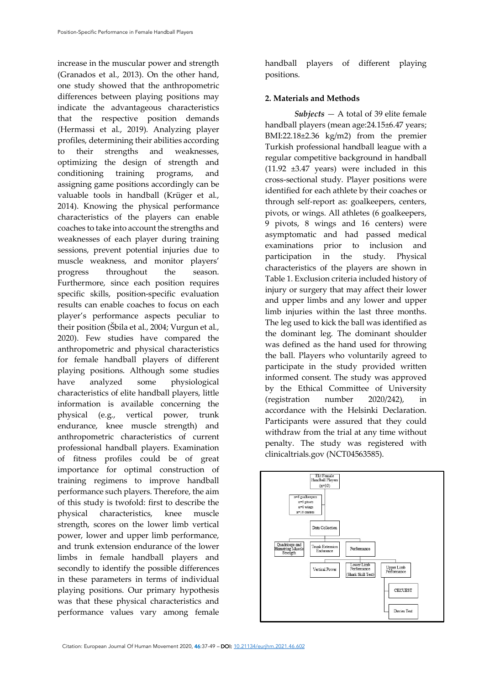increase in the muscular power and strength (Granados et al., 2013). On the other hand, one study showed that the anthropometric differences between playing positions may indicate the advantageous characteristics that the respective position demands (Hermassi et al., 2019). Analyzing player profiles, determining their abilities according to their strengths and weaknesses, optimizing the design of strength and conditioning training programs, and assigning game positions accordingly can be valuable tools in handball (Krüger et al., 2014). Knowing the physical performance characteristics of the players can enable coaches to take into account the strengths and weaknesses of each player during training sessions, prevent potential injuries due to muscle weakness, and monitor players' progress throughout the season. Furthermore, since each position requires specific skills, position-specific evaluation results can enable coaches to focus on each player's performance aspects peculiar to their position (Šbila et al., 2004; Vurgun et al., 2020). Few studies have compared the anthropometric and physical characteristics for female handball players of different playing positions. Although some studies have analyzed some physiological characteristics of elite handball players, little information is available concerning the physical (e.g., vertical power, trunk endurance, knee muscle strength) and anthropometric characteristics of current professional handball players. Examination of fitness profiles could be of great importance for optimal construction of training regimens to improve handball performance such players. Therefore, the aim of this study is twofold: first to describe the physical characteristics, knee muscle strength, scores on the lower limb vertical power, lower and upper limb performance, and trunk extension endurance of the lower limbs in female handball players and secondly to identify the possible differences in these parameters in terms of individual playing positions. Our primary hypothesis was that these physical characteristics and performance values vary among female

handball players of different playing positions.

# **2. Materials and Methods**

*Subjects —* A total of 39 elite female handball players (mean age: 24.15±6.47 years; BMI:22.18±2.36 kg/m2) from the premier Turkish professional handball league with a regular competitive background in handball (11.92 ±3.47 years) were included in this cross-sectional study. Player positions were identified for each athlete by their coaches or through self-report as: goalkeepers, centers, pivots, or wings. All athletes (6 goalkeepers, 9 pivots, 8 wings and 16 centers) were asymptomatic and had passed medical examinations prior to inclusion and participation in the study. Physical characteristics of the players are shown in Table 1. Exclusion criteria included history of injury or surgery that may affect their lower and upper limbs and any lower and upper limb injuries within the last three months. The leg used to kick the ball was identified as the dominant leg. The dominant shoulder was defined as the hand used for throwing the ball. Players who voluntarily agreed to participate in the study provided written informed consent. The study was approved by the Ethical Committee of University (registration number 2020/242), in accordance with the Helsinki Declaration. Participants were assured that they could withdraw from the trial at any time without penalty. The study was registered with clinicaltrials.gov (NCT04563585).

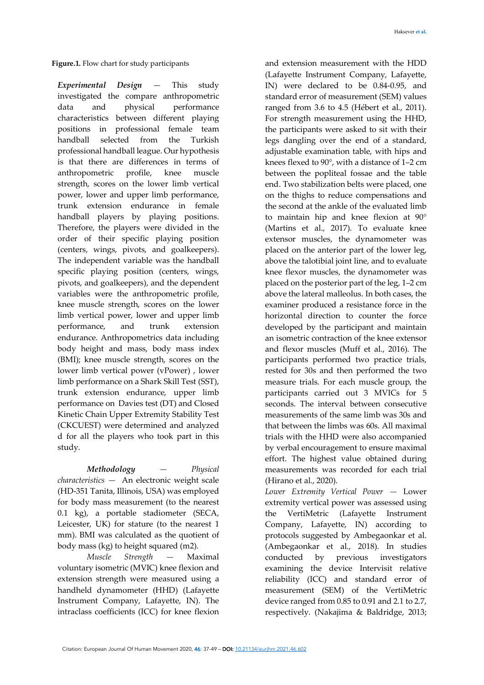*Experimental Design —* This study investigated the compare anthropometric data and physical performance characteristics between different playing positions in professional female team handball selected from the Turkish professional handball league. Our hypothesis is that there are differences in terms of anthropometric profile, knee muscle strength, scores on the lower limb vertical power, lower and upper limb performance, trunk extension endurance in female handball players by playing positions. Therefore, the players were divided in the order of their specific playing position (centers, wings, pivots, and goalkeepers). The independent variable was the handball specific playing position (centers, wings, pivots, and goalkeepers), and the dependent variables were the anthropometric profile, knee muscle strength, scores on the lower limb vertical power, lower and upper limb performance, and trunk extension endurance. Anthropometrics data including body height and mass, body mass index (BMI); knee muscle strength, scores on the lower limb vertical power (vPower) , lower limb performance on a Shark Skill Test (SST), trunk extension endurance, upper limb performance on Davies test (DT) and Closed Kinetic Chain Upper Extremity Stability Test (CKCUEST) were determined and analyzed d for all the players who took part in this study.

*Methodology — Physical characteristics —* An electronic weight scale (HD-351 Tanita, Illinois, USA) was employed for body mass measurement (to the nearest 0.1 kg), a portable stadiometer (SECA, Leicester, UK) for stature (to the nearest 1 mm). BMI was calculated as the quotient of body mass (kg) to height squared (m2).

*Muscle Strength —* Maximal voluntary isometric (MVIC) knee flexion and extension strength were measured using a handheld dynamometer (HHD) (Lafayette Instrument Company, Lafayette, IN). The intraclass coefficients (ICC) for knee flexion

and extension measurement with the HDD (Lafayette Instrument Company, Lafayette, IN) were declared to be 0.84-0.95, and standard error of measurement (SEM) values ranged from 3.6 to 4.5 (Hébert et al., 2011). For strength measurement using the HHD, the participants were asked to sit with their legs dangling over the end of a standard, adjustable examination table, with hips and knees flexed to 90°, with a distance of 1–2 cm between the popliteal fossae and the table end. Two stabilization belts were placed, one on the thighs to reduce compensations and the second at the ankle of the evaluated limb to maintain hip and knee flexion at 90° (Martins et al., 2017). To evaluate knee extensor muscles, the dynamometer was placed on the anterior part of the lower leg, above the talotibial joint line, and to evaluate knee flexor muscles, the dynamometer was placed on the posterior part of the leg, 1–2 cm above the lateral malleolus. In both cases, the examiner produced a resistance force in the horizontal direction to counter the force developed by the participant and maintain an isometric contraction of the knee extensor and flexor muscles (Muff et al., 2016). The participants performed two practice trials, rested for 30s and then performed the two measure trials. For each muscle group, the participants carried out 3 MVICs for 5 seconds. The interval between consecutive measurements of the same limb was 30s and that between the limbs was 60s. All maximal trials with the HHD were also accompanied by verbal encouragement to ensure maximal effort. The highest value obtained during measurements was recorded for each trial (Hirano et al., 2020).

*Lower Extremity Vertical Power —* Lower extremity vertical power was assessed using the VertiMetric (Lafayette Instrument Company, Lafayette, IN) according to protocols suggested by Ambegaonkar et al. (Ambegaonkar et al., 2018). In studies conducted by previous investigators examining the device Intervisit relative reliability (ICC) and standard error of measurement (SEM) of the VertiMetric device ranged from 0.85 to 0.91 and 2.1 to 2.7, respectively. (Nakajima & Baldridge, 2013;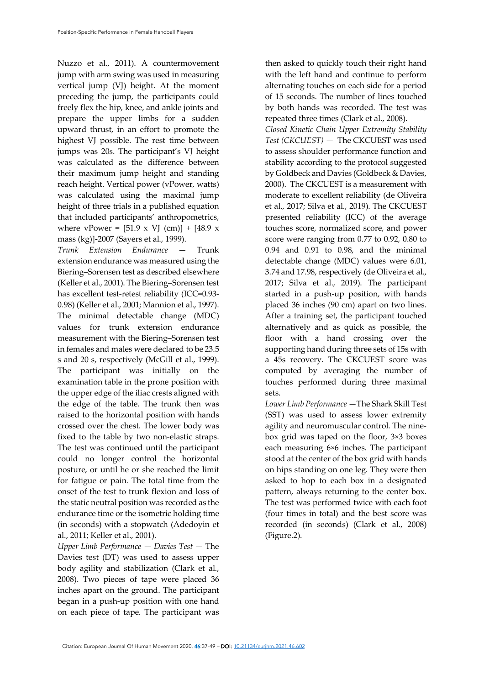Nuzzo et al., 2011). A countermovement jump with arm swing was used in measuring vertical jump (VJ) height. At the moment preceding the jump, the participants could freely flex the hip, knee, and ankle joints and prepare the upper limbs for a sudden upward thrust, in an effort to promote the highest VJ possible. The rest time between jumps was 20s. The participant's VJ height was calculated as the difference between their maximum jump height and standing reach height. Vertical power (vPower, watts) was calculated using the maximal jump height of three trials in a published equation that included participants' anthropometrics, where vPower =  $[51.9 \times V]$  (cm)] +  $[48.9 \times$ mass (kg)]-2007 (Sayers et al., 1999).

*Trunk Extension Endurance —* Trunk extension endurance was measured using the Biering–Sorensen test as described elsewhere (Keller et al., 2001). The Biering–Sorensen test has excellent test-retest reliability (ICC=0.93- 0.98) (Keller et al., 2001; Mannion et al., 1997). The minimal detectable change (MDC) values for trunk extension endurance measurement with the Biering–Sorensen test in females and males were declared to be 23.5 s and 20 s, respectively (McGill et al., 1999). The participant was initially on the examination table in the prone position with the upper edge of the iliac crests aligned with the edge of the table. The trunk then was raised to the horizontal position with hands crossed over the chest. The lower body was fixed to the table by two non-elastic straps. The test was continued until the participant could no longer control the horizontal posture, or until he or she reached the limit for fatigue or pain. The total time from the onset of the test to trunk flexion and loss of the static neutral position was recorded as the endurance time or the isometric holding time (in seconds) with a stopwatch (Adedoyin et al., 2011; Keller et al., 2001).

*Upper Limb Performance — Davies Test —* The Davies test (DT) was used to assess upper body agility and stabilization (Clark et al., 2008). Two pieces of tape were placed 36 inches apart on the ground. The participant began in a push-up position with one hand on each piece of tape. The participant was

then asked to quickly touch their right hand with the left hand and continue to perform alternating touches on each side for a period of 15 seconds. The number of lines touched by both hands was recorded. The test was repeated three times (Clark et al., 2008).

*Closed Kinetic Chain Upper Extremity Stability Test (CKCUEST) —* The CKCUEST was used to assess shoulder performance function and stability according to the protocol suggested by Goldbeck and Davies (Goldbeck & Davies, 2000). The CKCUEST is a measurement with moderate to excellent reliability (de Oliveira et al., 2017; Silva et al., 2019). The CKCUEST presented reliability (ICC) of the average touches score, normalized score, and power score were ranging from 0.77 to 0.92, 0.80 to 0.94 and 0.91 to 0.98, and the minimal detectable change (MDC) values were 6.01, 3.74 and 17.98, respectively (de Oliveira et al., 2017; Silva et al., 2019). The participant started in a push-up position, with hands placed 36 inches (90 cm) apart on two lines. After a training set, the participant touched alternatively and as quick as possible, the floor with a hand crossing over the supporting hand during three sets of 15s with a 45s recovery. The CKCUEST score was computed by averaging the number of touches performed during three maximal sets.

*Lower Limb Performance —*The Shark Skill Test (SST) was used to assess lower extremity agility and neuromuscular control. The ninebox grid was taped on the floor, 3×3 boxes each measuring 6×6 inches. The participant stood at the center of the box grid with hands on hips standing on one leg. They were then asked to hop to each box in a designated pattern, always returning to the center box. The test was performed twice with each foot (four times in total) and the best score was recorded (in seconds) (Clark et al., 2008) (Figure.2).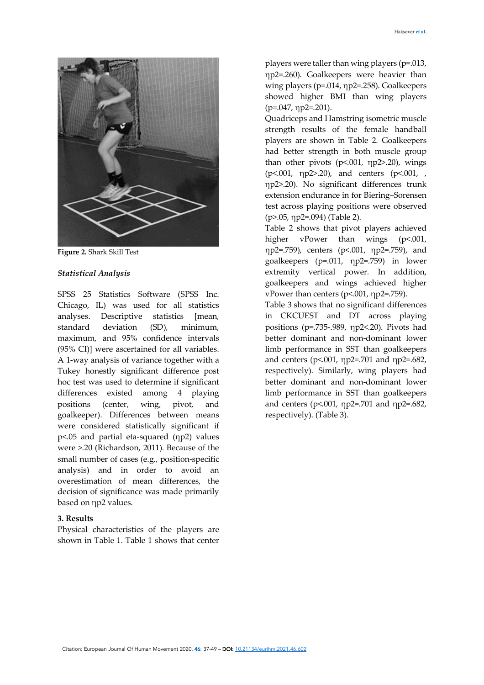

**Figure 2.** Shark Skill Test

#### *Statistical Analysis*

SPSS 25 Statistics Software (SPSS Inc. Chicago, IL) was used for all statistics analyses. Descriptive statistics [mean, standard deviation (SD), minimum, maximum, and 95% confidence intervals (95% CI)] were ascertained for all variables. A 1-way analysis of variance together with a Tukey honestly significant difference post hoc test was used to determine if significant differences existed among 4 playing positions (center, wing, pivot, and goalkeeper). Differences between means were considered statistically significant if p<.05 and partial eta-squared (ηp2) values were >.20 (Richardson, 2011). Because of the small number of cases (e.g., position-specific analysis) and in order to avoid an overestimation of mean differences, the decision of significance was made primarily based on ηp2 values.

## **3. Results**

Physical characteristics of the players are shown in Table 1. Table 1 shows that center

players were taller than wing players (p=.013, ηp2=.260). Goalkeepers were heavier than wing players (p=.014, ηp2=.258). Goalkeepers showed higher BMI than wing players  $(p=.047, \eta p2=.201)$ .

Quadriceps and Hamstring isometric muscle strength results of the female handball players are shown in Table 2. Goalkeepers had better strength in both muscle group than other pivots (p<.001, ηp2>.20), wings (p<.001, ηp2>.20), and centers (p<.001, , ηp2>.20). No significant differences trunk extension endurance in for Biering–Sorensen test across playing positions were observed (p>.05, ηp2=.094) (Table 2).

Table 2 shows that pivot players achieved higher vPower than wings (p<.001, ηp2=.759), centers (p<.001, ηp2=.759), and goalkeepers (p=.011, ηp2=.759) in lower extremity vertical power. In addition, goalkeepers and wings achieved higher vPower than centers (p<.001, ηp2=.759).

Table 3 shows that no significant differences in CKCUEST and DT across playing positions (p=.735-.989, ηp2<.20). Pivots had better dominant and non-dominant lower limb performance in SST than goalkeepers and centers (p<.001, ηp2=.701 and ηp2=.682, respectively). Similarly, wing players had better dominant and non-dominant lower limb performance in SST than goalkeepers and centers (p<.001, ηp2=.701 and ηp2=.682, respectively). (Table 3).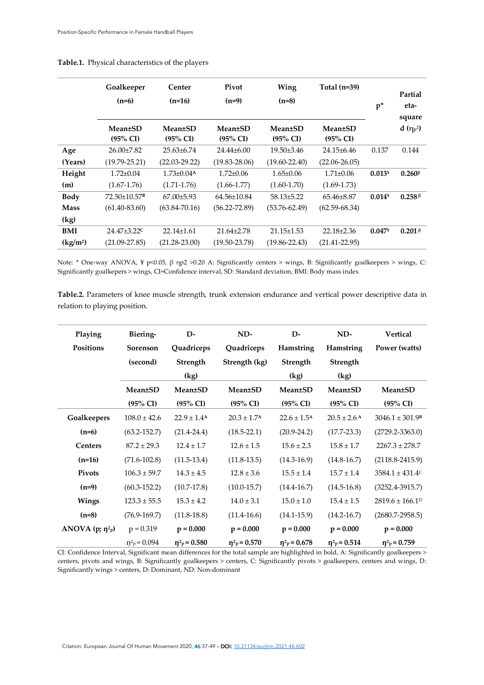|                         | Goalkeeper<br>$(n=6)$                  | Center<br>$(n=16)$                     | Pivot<br>$(n=9)$                      | Wing<br>$(n=8)$                                    | Total $(n=39)$                        | $p^*$    | Partial<br>eta-<br>square             |
|-------------------------|----------------------------------------|----------------------------------------|---------------------------------------|----------------------------------------------------|---------------------------------------|----------|---------------------------------------|
|                         | <b>Mean</b> ±SD<br>$(95\% \text{ CI})$ | <b>Mean</b> ±SD<br>$(95\% \text{ CI})$ | <b>Mean±SD</b><br>$(95\% \text{ CI})$ | <b>Mean</b> <sup>±</sup> SD<br>$(95\% \text{ CI})$ | <b>Mean±SD</b><br>$(95\% \text{ CI})$ |          | d $(\eta_P^2)$                        |
| Age                     | $26.00\pm7.82$                         | $25.63 \pm 6.74$                       | $24.44\pm 6.00$                       | $19.50 \pm 3.46$                                   | $24.15 \pm 6.46$                      | 0.137    | 0.144                                 |
| (Years)                 | $(19.79 - 25.21)$                      | $(22.03 - 29.22)$                      | $(19.83 - 28.06)$                     | $(19.60 - 22.40)$                                  | $(22.06 - 26.05)$                     |          |                                       |
| Height                  | $1.72 \pm 0.04$                        | $1.73 \pm 0.04$ <sup>A</sup>           | $1.72 \pm 0.06$                       | $1.65 \pm 0.06$                                    | $1.71 \pm 0.06$                       | $0.013*$ | $0.260$ <sup><math>\beta</math></sup> |
| (m)                     | $(1.67 - 1.76)$                        | $(1.71 - 1.76)$                        | $(1.66 - 1.77)$                       | $(1.60 - 1.70)$                                    | $(1.69 - 1.73)$                       |          |                                       |
| Body                    | 72.50±10.57 <sup>B</sup>               | $67.00 \pm 5.93$                       | $64.56 \pm 10.84$                     | $58.13 \pm 5.22$                                   | $65.46 \pm 8.87$                      | $0.014*$ | 0.258 <sup>β</sup>                    |
| <b>Mass</b>             | $(61.40 - 83.60)$                      | $(63.84 - 70.16)$                      | $(56.22 - 72.89)$                     | $(53.76 - 62.49)$                                  | $(62.59 - 68.34)$                     |          |                                       |
| (kg)                    |                                        |                                        |                                       |                                                    |                                       |          |                                       |
| <b>BMI</b>              | $24.47 \pm 3.22$ C                     | $22.14 \pm 1.61$                       | $21.64 \pm 2.78$                      | $21.15 \pm 1.53$                                   | $22.18 \pm 2.36$                      | $0.047*$ | $0.201 \, \beta$                      |
| $\frac{\text{kg}}{m^2}$ | $(21.09 - 27.85)$                      | $(21.28 - 23.00)$                      | $(19.50 - 23.78)$                     | $(19.86 - 22.43)$                                  | $(21.41 - 22.95)$                     |          |                                       |

### **Table.1.** Physical characteristics of the players

Note: \* One-way ANOVA, ¥ p<0.05, β ηp2 >0.20 A: Significantly centers > wings, B: Significantly goalkeepers > wings, C: Significantly goalkepers > wings, CI=Confidence interval, SD: Standard deviation, BMI: Body mass index

**Table.2.** Parameters of knee muscle strength, trunk extension endurance and vertical power descriptive data in relation to playing position.

| Playing                                           | Biering-                                    | D-                            | ND-                           | $\mathbf{D}$                  | ND-                           | <b>Vertical</b>                 |
|---------------------------------------------------|---------------------------------------------|-------------------------------|-------------------------------|-------------------------------|-------------------------------|---------------------------------|
| Positions                                         | <b>Sorenson</b>                             | Quadriceps                    | Quadriceps                    | Hamstring                     | Hamstring                     | Power (watts)                   |
|                                                   | (second)                                    | Strength                      | Strength (kg)                 | Strength                      | Strength                      |                                 |
|                                                   | (kg)                                        |                               |                               | (kg)                          | (kg)                          |                                 |
|                                                   | <b>Mean</b> <sup>±</sup> SD                 | <b>Mean</b> <sup>t</sup> SD   | <b>Mean</b> <sup>t</sup> SD   | <b>Mean</b> <sup>t</sup> SD   | <b>Mean</b> <sup>±</sup> SD   | <b>Mean</b> <sup>±</sup> SD     |
|                                                   | $(95\% \text{ CI})$                         | $(95\% \text{ CI})$           | $(95\% \text{ CI})$           | $(95\% \text{ CI})$           | $(95\% \text{ CI})$           | $(95\% \text{ CI})$             |
| Goalkeepers                                       | $108.0 \pm 42.6$                            | $22.9 \pm 1.4$ <sup>A</sup>   | $20.3 \pm 1.7$ <sup>A</sup>   | $22.6 \pm 1.5^{\rm A}$        | $20.5 \pm 2.6$ <sup>A</sup>   | $3046.1 \pm 301.9$ <sup>B</sup> |
| $(n=6)$                                           | $(63.2 - 152.7)$                            | $(21.4 - 24.4)$               | $(18.5 - 22.1)$               | $(20.9 - 24.2)$               | $(17.7 - 23.3)$               | $(2729.2 - 3363.0)$             |
| <b>Centers</b>                                    | $87.2 \pm 29.3$                             | $12.4 \pm 1.7$                | $12.6 \pm 1.5$                | $15.6 \pm 2.3$                | $15.8 \pm 1.7$                | $2267.3 \pm 278.7$              |
| $(n=16)$                                          | $(71.6 - 102.8)$                            | $(11.5-13.4)$                 | $(11.8-13.5)$                 | $(14.3 - 16.9)$               | $(14.8 - 16.7)$               | $(2118.8 - 2415.9)$             |
| Pivots                                            | $106.3 \pm 59.7$                            | $14.3 \pm 4.5$                | $12.8 \pm 3.6$                | $15.5 \pm 1.4$                | $15.7 \pm 1.4$                | $3584.1 \pm 431.4$ <sup>c</sup> |
| $(n=9)$                                           | $(60.3 - 152.2)$                            | $(10.7 - 17.8)$               | $(10.0-15.7)$                 | $(14.4 - 16.7)$               | $(14.5 - 16.8)$               | $(3252.4 - 3915.7)$             |
| Wings                                             | $123.3 \pm 55.5$                            | $15.3 \pm 4.2$                | $14.0 \pm 3.1$                | $15.0 \pm 1.0$                | $15.4 \pm 1.5$                | $2819.6 \pm 166.1$ <sup>D</sup> |
| $(n=8)$                                           | $(76.9 - 169.7)$                            | $(11.8-18.8)$                 | $(11.4 - 16.6)$               | $(14.1 - 15.9)$               | $(14.2 - 16.7)$               | $(2680.7 - 2958.5)$             |
| ANOVA $(p; \eta^2 p)$                             | $p = 0.319$                                 | $p = 0.000$                   | $p = 0.000$                   | $p = 0.000$                   | $p = 0.000$                   | $p = 0.000$                     |
| $\alpha$ $\alpha$ $\beta$ $\beta$<br>$\mathbf{r}$ | $p^2P = 0.094$<br>$\mathbf{1}$ $\mathbf{0}$ | $\eta^2$ <sub>p</sub> = 0.580 | $\eta^2$ <sub>p</sub> = 0.570 | $\eta^2$ <sub>p</sub> = 0.678 | $\eta^2$ <sub>p</sub> = 0.514 | $\eta^2$ <sub>p</sub> = 0.759   |

CI: Confidence Interval, Significant mean differences for the total sample are highlighted in bold, A: Significantly goalkeepers > centers, pivots and wings, B: Significantly goalkeepers > centers, C: Significantly pivots > goalkeepers, centers and wings, D: Significantly wings > centers, D: Dominant, ND: Non-dominant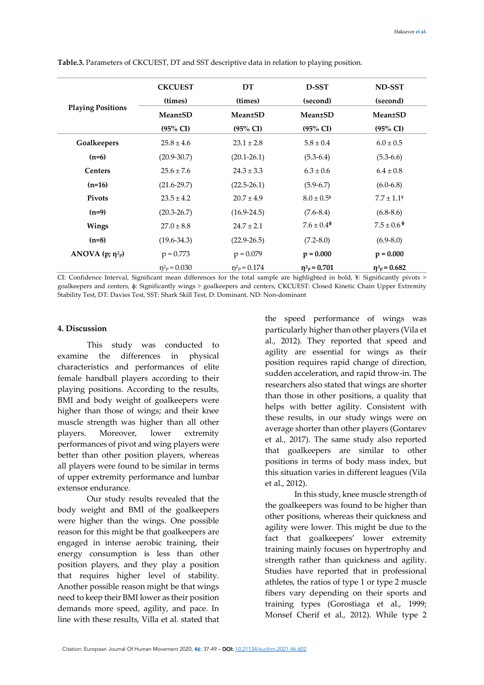|                          | <b>CKCUEST</b>                | DT                  | D-SST                         | ND-SST                        |  |
|--------------------------|-------------------------------|---------------------|-------------------------------|-------------------------------|--|
|                          | (times)                       | (times)             | (second)                      | (second)                      |  |
| <b>Playing Positions</b> | <b>Mean</b> ±SD               | <b>Mean</b> ±SD     | <b>Mean</b> ±SD               | <b>Mean</b> <sup>±</sup> SD   |  |
|                          | $(95\% \text{ CI})$           | $(95\% \text{ CI})$ | $(95\% \text{ CI})$           | $(95\% \text{ CI})$           |  |
| Goalkeepers              | $25.8 \pm 4.6$                | $23.1 \pm 2.8$      | $5.8 \pm 0.4$                 | $6.0 \pm 0.5$                 |  |
| $(n=6)$                  | $(20.9 - 30.7)$               | $(20.1 - 26.1)$     | $(5.3-6.4)$                   | $(5.3-6.6)$                   |  |
| <b>Centers</b>           | $25.6 \pm 7.6$                | $24.3 \pm 3.3$      | $6.3 \pm 0.6$                 | $6.4 \pm 0.8$                 |  |
| $(n=16)$                 | $(21.6 - 29.7)$               | $(22.5 - 26.1)$     | $(5.9-6.7)$                   | $(6.0-6.8)$                   |  |
| <b>Pivots</b>            | $23.5 \pm 4.2$                | $20.7 \pm 4.9$      | $8.0 \pm 0.5^*$               | $7.7 \pm 1.1*$                |  |
| $(n=9)$                  | $(20.3 - 26.7)$               | $(16.9 - 24.5)$     | $(7.6 - 8.4)$                 | $(6.8-8.6)$                   |  |
| Wings                    | $27.0 \pm 8.8$                | $24.7 \pm 2.1$      | $7.6 \pm 0.4^{\circ}$         | $7.5 \pm 0.6^{\circ}$         |  |
| $(n=8)$                  | $(19.6 - 34.3)$               | $(22.9 - 26.5)$     | $(7.2 - 8.0)$                 | $(6.9 - 8.0)$                 |  |
| ANOVA $(p; \eta^2 p)$    | $p = 0.773$                   | $p = 0.079$         | $p = 0.000$                   | $p = 0.000$                   |  |
|                          | $\eta^2$ <sub>p</sub> = 0.030 | $n^2P = 0.174$      | $\eta^2$ <sub>p</sub> = 0.701 | $\eta^2$ <sub>p</sub> = 0.682 |  |

**Table.3.** Parameters of CKCUEST, DT and SST descriptive data in relation to playing position.

CI: Confidence Interval, Significant mean differences for the total sample are highlighted in bold, ¥: Significantly pivots > goalkeepers and centers, ɸ: Significantly wings > goalkeepers and centers, CKCUEST: Closed Kinetic Chain Upper Extremity Stability Test, DT: Davies Test, SST: Shark Skill Test, D: Dominant, ND: Non-dominant

#### **4. Discussion**

This study was conducted to examine the differences in physical characteristics and performances of elite female handball players according to their playing positions. According to the results, BMI and body weight of goalkeepers were higher than those of wings; and their knee muscle strength was higher than all other players. Moreover, lower extremity performances of pivot and wing players were better than other position players, whereas all players were found to be similar in terms of upper extremity performance and lumbar extensor endurance.

Our study results revealed that the body weight and BMI of the goalkeepers were higher than the wings. One possible reason for this might be that goalkeepers are engaged in intense aerobic training, their energy consumption is less than other position players, and they play a position that requires higher level of stability. Another possible reason might be that wings need to keep their BMI lower as their position demands more speed, agility, and pace. In line with these results, Villa et al. stated that

the speed performance of wings was particularly higher than other players (Vila et al., 2012). They reported that speed and agility are essential for wings as their position requires rapid change of direction, sudden acceleration, and rapid throw-in. The researchers also stated that wings are shorter than those in other positions, a quality that helps with better agility. Consistent with these results, in our study wings were on average shorter than other players (Gontarev et al., 2017). The same study also reported that goalkeepers are similar to other positions in terms of body mass index, but this situation varies in different leagues (Vila et al., 2012).

In this study, knee muscle strength of the goalkeepers was found to be higher than other positions, whereas their quickness and agility were lower. This might be due to the fact that goalkeepers' lower extremity training mainly focuses on hypertrophy and strength rather than quickness and agility. Studies have reported that in professional athletes, the ratios of type 1 or type 2 muscle fibers vary depending on their sports and training types (Gorostiaga et al., 1999; Monsef Cherif et al., 2012). While type 2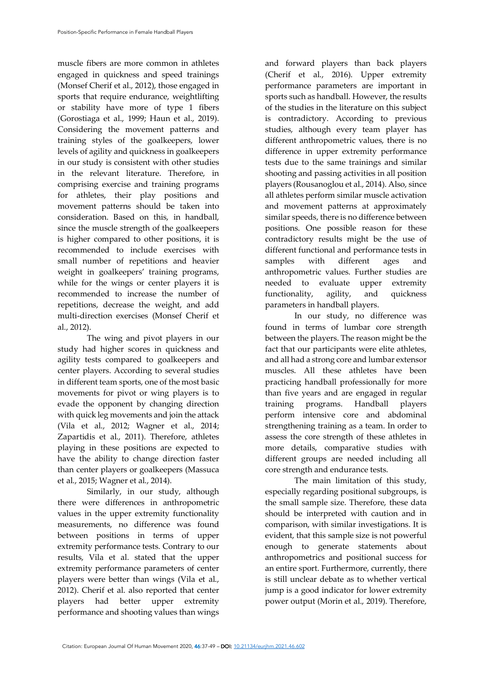muscle fibers are more common in athletes engaged in quickness and speed trainings (Monsef Cherif et al., 2012), those engaged in sports that require endurance, weightlifting or stability have more of type 1 fibers (Gorostiaga et al., 1999; Haun et al., 2019). Considering the movement patterns and training styles of the goalkeepers, lower levels of agility and quickness in goalkeepers in our study is consistent with other studies in the relevant literature. Therefore, in comprising exercise and training programs for athletes, their play positions and movement patterns should be taken into consideration. Based on this, in handball, since the muscle strength of the goalkeepers is higher compared to other positions, it is recommended to include exercises with small number of repetitions and heavier weight in goalkeepers' training programs, while for the wings or center players it is recommended to increase the number of repetitions, decrease the weight, and add multi-direction exercises (Monsef Cherif et al., 2012).

The wing and pivot players in our study had higher scores in quickness and agility tests compared to goalkeepers and center players. According to several studies in different team sports, one of the most basic movements for pivot or wing players is to evade the opponent by changing direction with quick leg movements and join the attack (Vila et al., 2012; Wagner et al., 2014; Zapartidis et al., 2011). Therefore, athletes playing in these positions are expected to have the ability to change direction faster than center players or goalkeepers (Massuca et al., 2015; Wagner et al., 2014).

Similarly, in our study, although there were differences in anthropometric values in the upper extremity functionality measurements, no difference was found between positions in terms of upper extremity performance tests. Contrary to our results, Vila et al. stated that the upper extremity performance parameters of center players were better than wings (Vila et al., 2012). Cherif et al. also reported that center players had better upper extremity performance and shooting values than wings

and forward players than back players (Cherif et al., 2016). Upper extremity performance parameters are important in sports such as handball. However, the results of the studies in the literature on this subject is contradictory. According to previous studies, although every team player has different anthropometric values, there is no difference in upper extremity performance tests due to the same trainings and similar shooting and passing activities in all position players (Rousanoglou et al., 2014). Also, since all athletes perform similar muscle activation and movement patterns at approximately similar speeds, there is no difference between positions. One possible reason for these contradictory results might be the use of different functional and performance tests in samples with different ages and anthropometric values. Further studies are needed to evaluate upper extremity functionality, agility, and quickness parameters in handball players.

In our study, no difference was found in terms of lumbar core strength between the players. The reason might be the fact that our participants were elite athletes, and all had a strong core and lumbar extensor muscles. All these athletes have been practicing handball professionally for more than five years and are engaged in regular training programs. Handball players perform intensive core and abdominal strengthening training as a team. In order to assess the core strength of these athletes in more details, comparative studies with different groups are needed including all core strength and endurance tests.

The main limitation of this study, especially regarding positional subgroups, is the small sample size. Therefore, these data should be interpreted with caution and in comparison, with similar investigations. It is evident, that this sample size is not powerful enough to generate statements about anthropometrics and positional success for an entire sport. Furthermore, currently, there is still unclear debate as to whether vertical jump is a good indicator for lower extremity power output (Morin et al., 2019). Therefore,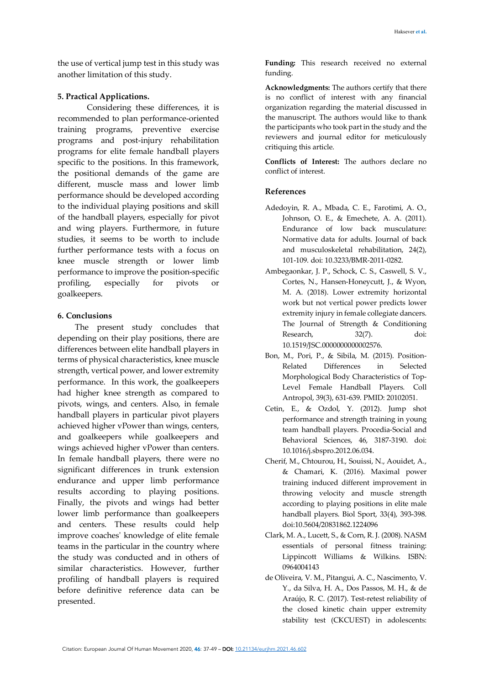the use of vertical jump test in this study was another limitation of this study.

## **5. Practical Applications.**

Considering these differences, it is recommended to plan performance-oriented training programs, preventive exercise programs and post-injury rehabilitation programs for elite female handball players specific to the positions. In this framework, the positional demands of the game are different, muscle mass and lower limb performance should be developed according to the individual playing positions and skill of the handball players, especially for pivot and wing players. Furthermore, in future studies, it seems to be worth to include further performance tests with a focus on knee muscle strength or lower limb performance to improve the position-specific profiling, especially for pivots or goalkeepers.

## **6. Conclusions**

The present study concludes that depending on their play positions, there are differences between elite handball players in terms of physical characteristics, knee muscle strength, vertical power, and lower extremity performance. In this work, the goalkeepers had higher knee strength as compared to pivots, wings, and centers. Also, in female handball players in particular pivot players achieved higher vPower than wings, centers, and goalkeepers while goalkeepers and wings achieved higher vPower than centers. In female handball players, there were no significant differences in trunk extension endurance and upper limb performance results according to playing positions. Finally, the pivots and wings had better lower limb performance than goalkeepers and centers. These results could help improve coaches' knowledge of elite female teams in the particular in the country where the study was conducted and in others of similar characteristics. However, further profiling of handball players is required before definitive reference data can be presented.

**Funding:** This research received no external funding.

**Acknowledgments:** The authors certify that there is no conflict of interest with any financial organization regarding the material discussed in the manuscript. The authors would like to thank the participants who took part in the study and the reviewers and journal editor for meticulously critiquing this article.

**Conflicts of Interest:** The authors declare no conflict of interest.

# **References**

- Adedoyin, R. A., Mbada, C. E., Farotimi, A. O., Johnson, O. E., & Emechete, A. A. (2011). Endurance of low back musculature: Normative data for adults. Journal of back and musculoskeletal rehabilitation, 24(2), 101-109. doi: 10.3233/BMR-2011-0282.
- Ambegaonkar, J. P., Schock, C. S., Caswell, S. V., Cortes, N., Hansen-Honeycutt, J., & Wyon, M. A. (2018). Lower extremity horizontal work but not vertical power predicts lower extremity injury in female collegiate dancers. The Journal of Strength & Conditioning Research, 32(7). doi: 10.1519/JSC.0000000000002576.
- Bon, M., Pori, P., & Sibila, M. (2015). Position-Related Differences in Selected Morphological Body Characteristics of Top-Level Female Handball Players. Coll Antropol, 39(3), 631-639. PMID: 20102051.
- Cetin, E., & Ozdol, Y. (2012). Jump shot performance and strength training in young team handball players. Procedia-Social and Behavioral Sciences, 46, 3187-3190. doi: 10.1016/j.sbspro.2012.06.034.
- Cherif, M., Chtourou, H., Souissi, N., Aouidet, A., & Chamari, K. (2016). Maximal power training induced different improvement in throwing velocity and muscle strength according to playing positions in elite male handball players. Biol Sport, 33(4), 393-398. doi:10.5604/20831862.1224096
- Clark, M. A., Lucett, S., & Corn, R. J. (2008). NASM essentials of personal fitness training: Lippincott Williams & Wilkins. ISBN: 0964004143
- de Oliveira, V. M., Pitangui, A. C., Nascimento, V. Y., da Silva, H. A., Dos Passos, M. H., & de Araújo, R. C. (2017). Test-retest reliability of the closed kinetic chain upper extremity stability test (CKCUEST) in adolescents: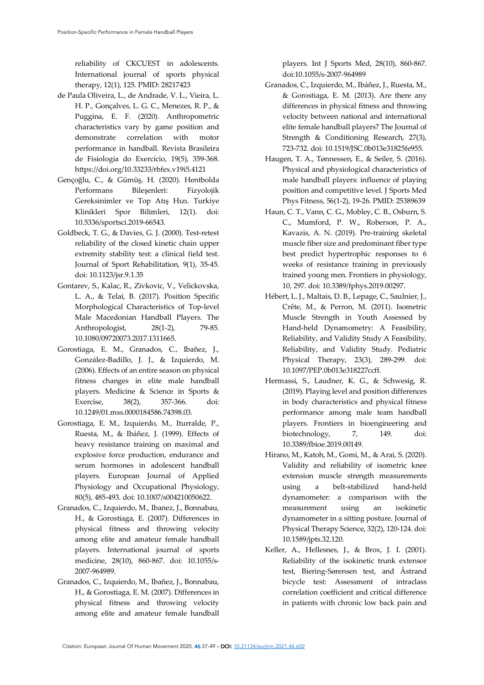reliability of CKCUEST in adolescents. International journal of sports physical therapy, 12(1), 125. PMID: 28217423

- de Paula Oliveira, L., de Andrade, V. L., Vieira, L. H. P., Gonçalves, L. G. C., Menezes, R. P., & Puggina, E. F. (2020). Anthropometric characteristics vary by game position and demonstrate correlation with motor performance in handball. Revista Brasileira de Fisiologia do Exercício, 19(5), 359-368. https://doi.org/10.33233/rbfex.v19i5.4121
- Gençoğlu, C., & Gümüş, H. (2020). Hentbolda Performans Bileşenleri: Fizyolojik Gereksinimler ve Top Atış Hızı. Turkiye Klinikleri Spor Bilimleri, 12(1). doi: 10.5336/sportsci.2019-66543.
- Goldbeck, T. G., & Davies, G. J. (2000). Test-retest reliability of the closed kinetic chain upper extremity stability test: a clinical field test. Journal of Sport Rehabilitation, 9(1), 35-45. doi: 10.1123/jsr.9.1.35
- Gontarev, S., Kalac, R., Zivkovic, V., Velickovska, L. A., & Telai, B. (2017). Position Specific Morphological Characteristics of Top-level Male Macedonian Handball Players. The Anthropologist, 28(1-2), 79-85. 10.1080/09720073.2017.1311665.
- Gorostiaga, E. M., Granados, C., Ibañez, J., González-Badillo, J. J., & Izquierdo, M. (2006). Effects of an entire season on physical fitness changes in elite male handball players. Medicine & Science in Sports & Exercise, 38(2), 357-366. doi: 10.1249/01.mss.0000184586.74398.03.
- Gorostiaga, E. M., Izquierdo, M., Iturralde, P., Ruesta, M., & Ibáñez, J. (1999). Effects of heavy resistance training on maximal and explosive force production, endurance and serum hormones in adolescent handball players. European Journal of Applied Physiology and Occupational Physiology, 80(5), 485-493. doi: 10.1007/s004210050622.
- Granados, C., Izquierdo, M., Ibanez, J., Bonnabau, H., & Gorostiaga, E. (2007). Differences in physical fitness and throwing velocity among elite and amateur female handball players. International journal of sports medicine, 28(10), 860-867. doi: 10.1055/s-2007-964989.
- Granados, C., Izquierdo, M., Ibañez, J., Bonnabau, H., & Gorostiaga, E. M. (2007). Differences in physical fitness and throwing velocity among elite and amateur female handball

players. Int J Sports Med, 28(10), 860-867. doi:10.1055/s-2007-964989

- Granados, C., Izquierdo, M., Ibáñez, J., Ruesta, M., & Gorostiaga, E. M. (2013). Are there any differences in physical fitness and throwing velocity between national and international elite female handball players? The Journal of Strength & Conditioning Research, 27(3), 723-732. doi: 10.1519/JSC.0b013e31825fe955.
- Haugen, T. A., Tønnessen, E., & Seiler, S. (2016). Physical and physiological characteristics of male handball players: influence of playing position and competitive level. J Sports Med Phys Fitness, 56(1-2), 19-26. PMID: 25389639
- Haun, C. T., Vann, C. G., Mobley, C. B., Osburn, S. C., Mumford, P. W., Roberson, P. A., Kavazis, A. N. (2019). Pre-training skeletal muscle fiber size and predominant fiber type best predict hypertrophic responses to 6 weeks of resistance training in previously trained young men. Frontiers in physiology, 10, 297. doi: 10.3389/fphys.2019.00297.
- Hébert, L. J., Maltais, D. B., Lepage, C., Saulnier, J., Crête, M., & Perron, M. (2011). Isometric Muscle Strength in Youth Assessed by Hand-held Dynamometry: A Feasibility, Reliability, and Validity Study A Feasibility, Reliability, and Validity Study. Pediatric Physical Therapy, 23(3), 289-299. doi: 10.1097/PEP.0b013e318227ccff.
- Hermassi, S., Laudner, K. G., & Schwesig, R. (2019). Playing level and position differences in body characteristics and physical fitness performance among male team handball players. Frontiers in bioengineering and biotechnology, 7, 149. doi: 10.3389/fbioe.2019.00149.
- Hirano, M., Katoh, M., Gomi, M., & Arai, S. (2020). Validity and reliability of isometric knee extension muscle strength measurements using a belt-stabilized hand-held dynamometer: a comparison with the measurement using an isokinetic dynamometer in a sitting posture. Journal of Physical Therapy Science, 32(2), 120-124. doi: 10.1589/jpts.32.120.
- Keller, A., Hellesnes, J., & Brox, J. I. (2001). Reliability of the isokinetic trunk extensor test, Biering-Sørensen test, and Åstrand bicycle test: Assessment of intraclass correlation coefficient and critical difference in patients with chronic low back pain and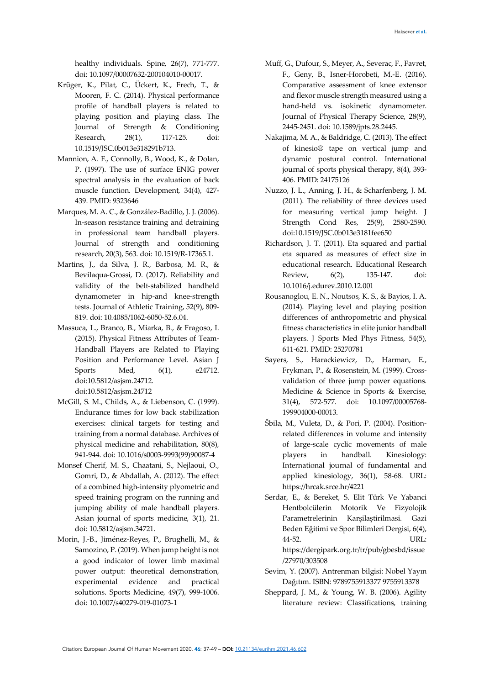healthy individuals. Spine, 26(7), 771-777. doi: 10.1097/00007632-200104010-00017.

- Krüger, K., Pilat, C., Ückert, K., Frech, T., & Mooren, F. C. (2014). Physical performance profile of handball players is related to playing position and playing class. The Journal of Strength & Conditioning Research, 28(1), 117-125. doi: 10.1519/JSC.0b013e318291b713.
- Mannion, A. F., Connolly, B., Wood, K., & Dolan, P. (1997). The use of surface ENIG power spectral analysis in the evaluation of back muscle function. Development, 34(4), 427- 439. PMID: 9323646
- Marques, M. A. C., & González-Badillo, J. J. (2006). In-season resistance training and detraining in professional team handball players. Journal of strength and conditioning research, 20(3), 563. doi: 10.1519/R-17365.1.
- Martins, J., da Silva, J. R., Barbosa, M. R., & Bevilaqua-Grossi, D. (2017). Reliability and validity of the belt-stabilized handheld dynamometer in hip-and knee-strength tests. Journal of Athletic Training, 52(9), 809- 819. doi: 10.4085/1062-6050-52.6.04.
- Massuca, L., Branco, B., Miarka, B., & Fragoso, I. (2015). Physical Fitness Attributes of Team-Handball Players are Related to Playing Position and Performance Level. Asian J Sports Med, 6(1), e24712. doi:10.5812/asjsm.24712. doi:10.5812/asjsm.24712
- McGill, S. M., Childs, A., & Liebenson, C. (1999). Endurance times for low back stabilization exercises: clinical targets for testing and training from a normal database. Archives of physical medicine and rehabilitation, 80(8), 941-944. doi: 10.1016/s0003-9993(99)90087-4
- Monsef Cherif, M. S., Chaatani, S., Nejlaoui, O., Gomri, D., & Abdallah, A. (2012). The effect of a combined high-intensity plyometric and speed training program on the running and jumping ability of male handball players. Asian journal of sports medicine, 3(1), 21. doi: 10.5812/asjsm.34721.
- Morin, J.-B., Jiménez-Reyes, P., Brughelli, M., & Samozino, P. (2019). When jump height is not a good indicator of lower limb maximal power output: theoretical demonstration, experimental evidence and practical solutions. Sports Medicine, 49(7), 999-1006. doi: 10.1007/s40279-019-01073-1
- Muff, G., Dufour, S., Meyer, A., Severac, F., Favret, F., Geny, B., Isner-Horobeti, M.-E. (2016). Comparative assessment of knee extensor and flexor muscle strength measured using a hand-held vs. isokinetic dynamometer. Journal of Physical Therapy Science, 28(9), 2445-2451. doi: 10.1589/jpts.28.2445.
- Nakajima, M. A., & Baldridge, C. (2013). The effect of kinesio® tape on vertical jump and dynamic postural control. International journal of sports physical therapy, 8(4), 393- 406. PMID: 24175126
- Nuzzo, J. L., Anning, J. H., & Scharfenberg, J. M. (2011). The reliability of three devices used for measuring vertical jump height. J Strength Cond Res, 25(9), 2580-2590. doi:10.1519/JSC.0b013e3181fee650
- Richardson, J. T. (2011). Eta squared and partial eta squared as measures of effect size in educational research. Educational Research Review, 6(2), 135-147. doi: 10.1016/j.edurev.2010.12.001
- Rousanoglou, E. N., Noutsos, K. S., & Bayios, I. A. (2014). Playing level and playing position differences of anthropometric and physical fitness characteristics in elite junior handball players. J Sports Med Phys Fitness, 54(5), 611-621. PMID: 25270781
- Sayers, S., Harackiewicz, D., Harman, E., Frykman, P., & Rosenstein, M. (1999). Crossvalidation of three jump power equations. Medicine & Science in Sports & Exercise, 31(4), 572-577. doi: 10.1097/00005768- 199904000-00013.
- Šbila, M., Vuleta, D., & Pori, P. (2004). Positionrelated differences in volume and intensity of large-scale cyclic movements of male players in handball. Kinesiology: International journal of fundamental and applied kinesiology, 36(1), 58-68. URL: https://hrcak.srce.hr/4221
- Serdar, E., & Bereket, S. Elit Türk Ve Yabanci Hentbolcülerin Motorik Ve Fizyolojik Parametrelerinin Karşilaştirilmasi. Gazi Beden Eğitimi ve Spor Bilimleri Dergisi, 6(4), 44-52. URL: https://dergipark.org.tr/tr/pub/gbesbd/issue /27970/303508
- Sevim, Y. (2007). Antrenman bilgisi: Nobel Yayın Dağıtım. ISBN: 9789755913377 9755913378
- Sheppard, J. M., & Young, W. B. (2006). Agility literature review: Classifications, training